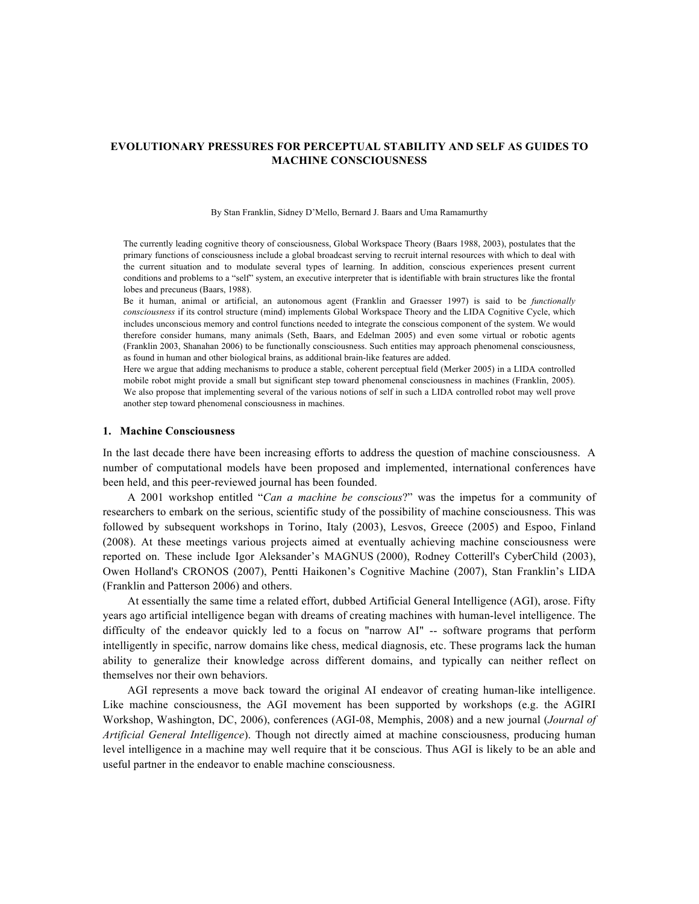# **EVOLUTIONARY PRESSURES FOR PERCEPTUAL STABILITY AND SELF AS GUIDES TO MACHINE CONSCIOUSNESS**

By Stan Franklin, Sidney D'Mello, Bernard J. Baars and Uma Ramamurthy

The currently leading cognitive theory of consciousness, Global Workspace Theory (Baars 1988, 2003), postulates that the primary functions of consciousness include a global broadcast serving to recruit internal resources with which to deal with the current situation and to modulate several types of learning. In addition, conscious experiences present current conditions and problems to a "self" system, an executive interpreter that is identifiable with brain structures like the frontal lobes and precuneus (Baars, 1988).

Be it human, animal or artificial, an autonomous agent (Franklin and Graesser 1997) is said to be *functionally consciousness* if its control structure (mind) implements Global Workspace Theory and the LIDA Cognitive Cycle, which includes unconscious memory and control functions needed to integrate the conscious component of the system. We would therefore consider humans, many animals (Seth, Baars, and Edelman 2005) and even some virtual or robotic agents (Franklin 2003, Shanahan 2006) to be functionally consciousness. Such entities may approach phenomenal consciousness, as found in human and other biological brains, as additional brain-like features are added.

Here we argue that adding mechanisms to produce a stable, coherent perceptual field (Merker 2005) in a LIDA controlled mobile robot might provide a small but significant step toward phenomenal consciousness in machines (Franklin, 2005). We also propose that implementing several of the various notions of self in such a LIDA controlled robot may well prove another step toward phenomenal consciousness in machines.

#### **1. Machine Consciousness**

In the last decade there have been increasing efforts to address the question of machine consciousness. A number of computational models have been proposed and implemented, international conferences have been held, and this peer-reviewed journal has been founded.

A 2001 workshop entitled "*Can a machine be conscious*?" was the impetus for a community of researchers to embark on the serious, scientific study of the possibility of machine consciousness. This was followed by subsequent workshops in Torino, Italy (2003), Lesvos, Greece (2005) and Espoo, Finland (2008). At these meetings various projects aimed at eventually achieving machine consciousness were reported on. These include Igor Aleksander's MAGNUS (2000), Rodney Cotterill's CyberChild (2003), Owen Holland's CRONOS (2007), Pentti Haikonen's Cognitive Machine (2007), Stan Franklin's LIDA (Franklin and Patterson 2006) and others.

At essentially the same time a related effort, dubbed Artificial General Intelligence (AGI), arose. Fifty years ago artificial intelligence began with dreams of creating machines with human-level intelligence. The difficulty of the endeavor quickly led to a focus on "narrow AI" -- software programs that perform intelligently in specific, narrow domains like chess, medical diagnosis, etc. These programs lack the human ability to generalize their knowledge across different domains, and typically can neither reflect on themselves nor their own behaviors.

AGI represents a move back toward the original AI endeavor of creating human-like intelligence. Like machine consciousness, the AGI movement has been supported by workshops (e.g. the AGIRI Workshop, Washington, DC, 2006), conferences (AGI-08, Memphis, 2008) and a new journal (*Journal of Artificial General Intelligence*). Though not directly aimed at machine consciousness, producing human level intelligence in a machine may well require that it be conscious. Thus AGI is likely to be an able and useful partner in the endeavor to enable machine consciousness.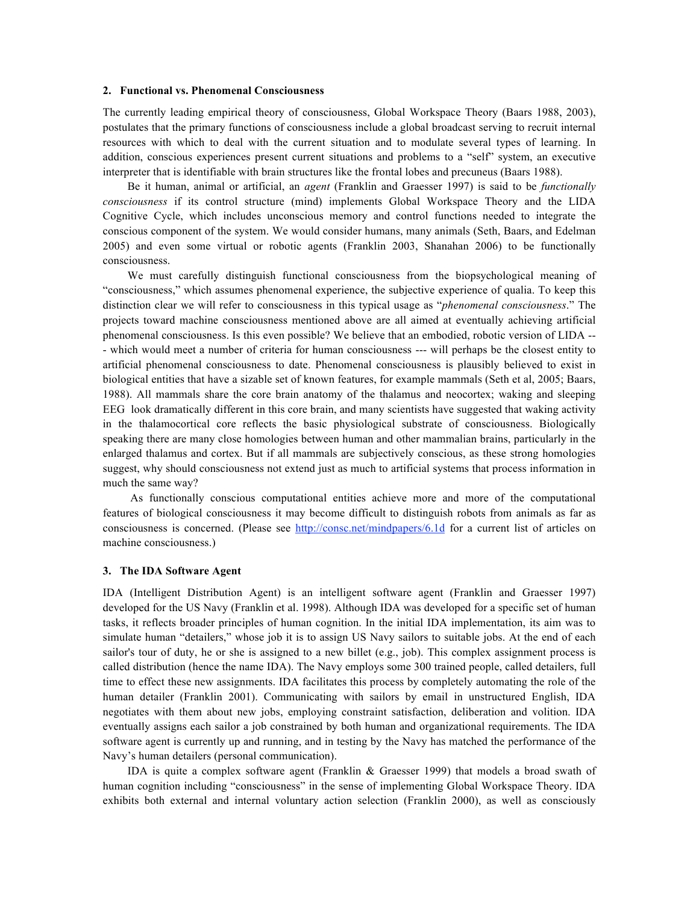### **2. Functional vs. Phenomenal Consciousness**

The currently leading empirical theory of consciousness, Global Workspace Theory (Baars 1988, 2003), postulates that the primary functions of consciousness include a global broadcast serving to recruit internal resources with which to deal with the current situation and to modulate several types of learning. In addition, conscious experiences present current situations and problems to a "self" system, an executive interpreter that is identifiable with brain structures like the frontal lobes and precuneus (Baars 1988).

Be it human, animal or artificial, an *agent* (Franklin and Graesser 1997) is said to be *functionally consciousness* if its control structure (mind) implements Global Workspace Theory and the LIDA Cognitive Cycle, which includes unconscious memory and control functions needed to integrate the conscious component of the system. We would consider humans, many animals (Seth, Baars, and Edelman 2005) and even some virtual or robotic agents (Franklin 2003, Shanahan 2006) to be functionally consciousness.

We must carefully distinguish functional consciousness from the biopsychological meaning of "consciousness," which assumes phenomenal experience, the subjective experience of qualia. To keep this distinction clear we will refer to consciousness in this typical usage as "*phenomenal consciousness*." The projects toward machine consciousness mentioned above are all aimed at eventually achieving artificial phenomenal consciousness. Is this even possible? We believe that an embodied, robotic version of LIDA -- - which would meet a number of criteria for human consciousness --- will perhaps be the closest entity to artificial phenomenal consciousness to date. Phenomenal consciousness is plausibly believed to exist in biological entities that have a sizable set of known features, for example mammals (Seth et al, 2005; Baars, 1988). All mammals share the core brain anatomy of the thalamus and neocortex; waking and sleeping EEG look dramatically different in this core brain, and many scientists have suggested that waking activity in the thalamocortical core reflects the basic physiological substrate of consciousness. Biologically speaking there are many close homologies between human and other mammalian brains, particularly in the enlarged thalamus and cortex. But if all mammals are subjectively conscious, as these strong homologies suggest, why should consciousness not extend just as much to artificial systems that process information in much the same way?

 As functionally conscious computational entities achieve more and more of the computational features of biological consciousness it may become difficult to distinguish robots from animals as far as consciousness is concerned. (Please see http://consc.net/mindpapers/6.1d for a current list of articles on machine consciousness.)

# **3. The IDA Software Agent**

IDA (Intelligent Distribution Agent) is an intelligent software agent (Franklin and Graesser 1997) developed for the US Navy (Franklin et al. 1998). Although IDA was developed for a specific set of human tasks, it reflects broader principles of human cognition. In the initial IDA implementation, its aim was to simulate human "detailers," whose job it is to assign US Navy sailors to suitable jobs. At the end of each sailor's tour of duty, he or she is assigned to a new billet (e.g., job). This complex assignment process is called distribution (hence the name IDA). The Navy employs some 300 trained people, called detailers, full time to effect these new assignments. IDA facilitates this process by completely automating the role of the human detailer (Franklin 2001). Communicating with sailors by email in unstructured English, IDA negotiates with them about new jobs, employing constraint satisfaction, deliberation and volition. IDA eventually assigns each sailor a job constrained by both human and organizational requirements. The IDA software agent is currently up and running, and in testing by the Navy has matched the performance of the Navy's human detailers (personal communication).

IDA is quite a complex software agent (Franklin & Graesser 1999) that models a broad swath of human cognition including "consciousness" in the sense of implementing Global Workspace Theory. IDA exhibits both external and internal voluntary action selection (Franklin 2000), as well as consciously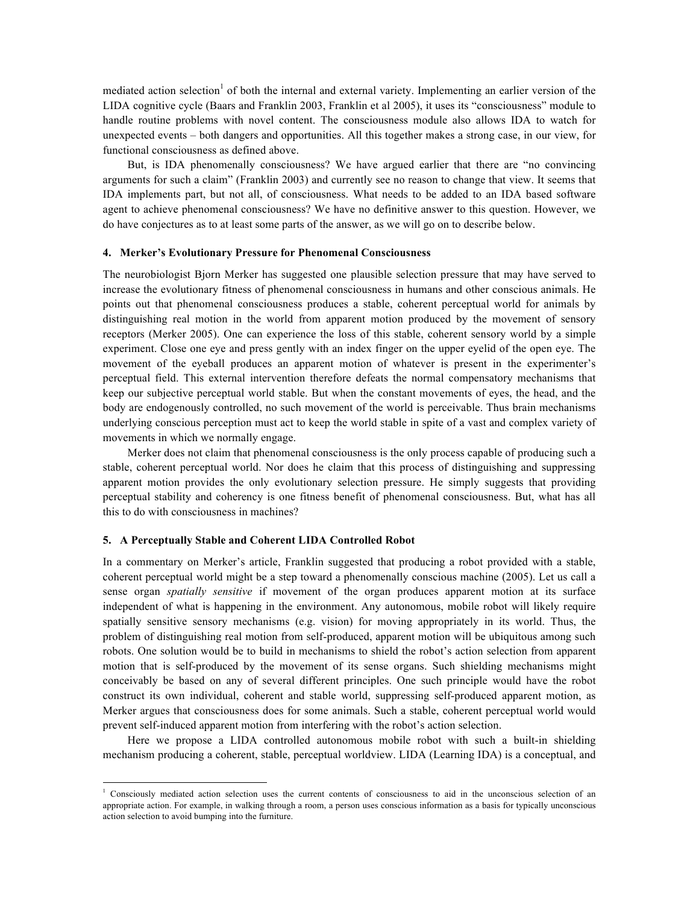mediated action selection<sup>1</sup> of both the internal and external variety. Implementing an earlier version of the LIDA cognitive cycle (Baars and Franklin 2003, Franklin et al 2005), it uses its "consciousness" module to handle routine problems with novel content. The consciousness module also allows IDA to watch for unexpected events – both dangers and opportunities. All this together makes a strong case, in our view, for functional consciousness as defined above.

But, is IDA phenomenally consciousness? We have argued earlier that there are "no convincing arguments for such a claim" (Franklin 2003) and currently see no reason to change that view. It seems that IDA implements part, but not all, of consciousness. What needs to be added to an IDA based software agent to achieve phenomenal consciousness? We have no definitive answer to this question. However, we do have conjectures as to at least some parts of the answer, as we will go on to describe below.

# **4. Merker's Evolutionary Pressure for Phenomenal Consciousness**

The neurobiologist Bjorn Merker has suggested one plausible selection pressure that may have served to increase the evolutionary fitness of phenomenal consciousness in humans and other conscious animals. He points out that phenomenal consciousness produces a stable, coherent perceptual world for animals by distinguishing real motion in the world from apparent motion produced by the movement of sensory receptors (Merker 2005). One can experience the loss of this stable, coherent sensory world by a simple experiment. Close one eye and press gently with an index finger on the upper eyelid of the open eye. The movement of the eyeball produces an apparent motion of whatever is present in the experimenter's perceptual field. This external intervention therefore defeats the normal compensatory mechanisms that keep our subjective perceptual world stable. But when the constant movements of eyes, the head, and the body are endogenously controlled, no such movement of the world is perceivable. Thus brain mechanisms underlying conscious perception must act to keep the world stable in spite of a vast and complex variety of movements in which we normally engage.

Merker does not claim that phenomenal consciousness is the only process capable of producing such a stable, coherent perceptual world. Nor does he claim that this process of distinguishing and suppressing apparent motion provides the only evolutionary selection pressure. He simply suggests that providing perceptual stability and coherency is one fitness benefit of phenomenal consciousness. But, what has all this to do with consciousness in machines?

# **5. A Perceptually Stable and Coherent LIDA Controlled Robot**

In a commentary on Merker's article, Franklin suggested that producing a robot provided with a stable, coherent perceptual world might be a step toward a phenomenally conscious machine (2005). Let us call a sense organ *spatially sensitive* if movement of the organ produces apparent motion at its surface independent of what is happening in the environment. Any autonomous, mobile robot will likely require spatially sensitive sensory mechanisms (e.g. vision) for moving appropriately in its world. Thus, the problem of distinguishing real motion from self-produced, apparent motion will be ubiquitous among such robots. One solution would be to build in mechanisms to shield the robot's action selection from apparent motion that is self-produced by the movement of its sense organs. Such shielding mechanisms might conceivably be based on any of several different principles. One such principle would have the robot construct its own individual, coherent and stable world, suppressing self-produced apparent motion, as Merker argues that consciousness does for some animals. Such a stable, coherent perceptual world would prevent self-induced apparent motion from interfering with the robot's action selection.

Here we propose a LIDA controlled autonomous mobile robot with such a built-in shielding mechanism producing a coherent, stable, perceptual worldview. LIDA (Learning IDA) is a conceptual, and

 $\frac{1}{1}$  Consciously mediated action selection uses the current contents of consciousness to aid in the unconscious selection of an appropriate action. For example, in walking through a room, a person uses conscious information as a basis for typically unconscious action selection to avoid bumping into the furniture.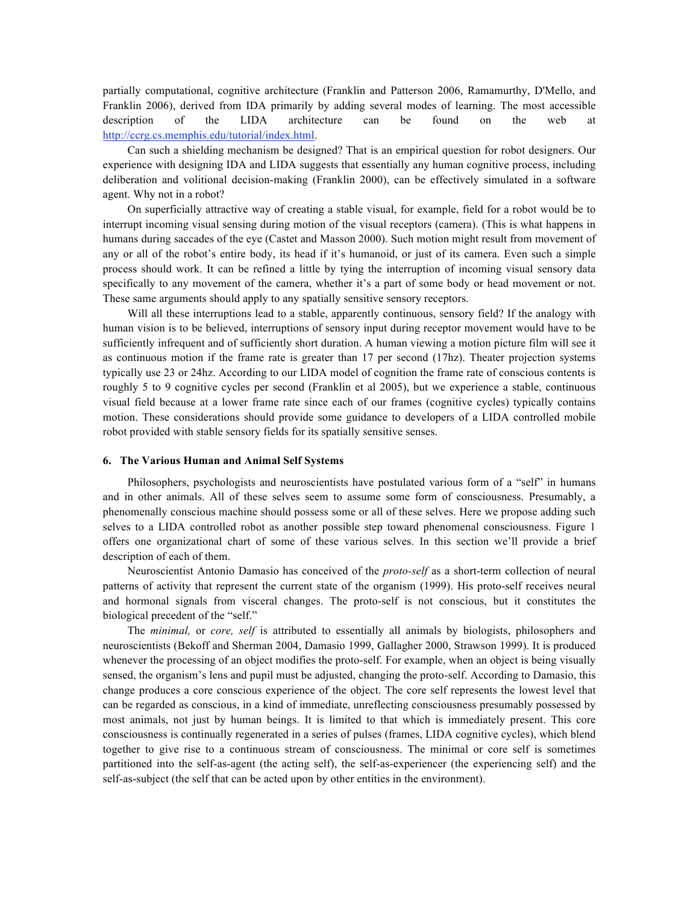partially computational, cognitive architecture (Franklin and Patterson 2006, Ramamurthy, D'Mello, and Franklin 2006), derived from IDA primarily by adding several modes of learning. The most accessible description of the LIDA architecture can be found on the web at http://ccrg.cs.memphis.edu/tutorial/index.html.

Can such a shielding mechanism be designed? That is an empirical question for robot designers. Our experience with designing IDA and LIDA suggests that essentially any human cognitive process, including deliberation and volitional decision-making (Franklin 2000), can be effectively simulated in a software agent. Why not in a robot?

On superficially attractive way of creating a stable visual, for example, field for a robot would be to interrupt incoming visual sensing during motion of the visual receptors (camera). (This is what happens in humans during saccades of the eye (Castet and Masson 2000). Such motion might result from movement of any or all of the robot's entire body, its head if it's humanoid, or just of its camera. Even such a simple process should work. It can be refined a little by tying the interruption of incoming visual sensory data specifically to any movement of the camera, whether it's a part of some body or head movement or not. These same arguments should apply to any spatially sensitive sensory receptors.

Will all these interruptions lead to a stable, apparently continuous, sensory field? If the analogy with human vision is to be believed, interruptions of sensory input during receptor movement would have to be sufficiently infrequent and of sufficiently short duration. A human viewing a motion picture film will see it as continuous motion if the frame rate is greater than 17 per second (17hz). Theater projection systems typically use 23 or 24hz. According to our LIDA model of cognition the frame rate of conscious contents is roughly 5 to 9 cognitive cycles per second (Franklin et al 2005), but we experience a stable, continuous visual field because at a lower frame rate since each of our frames (cognitive cycles) typically contains motion. These considerations should provide some guidance to developers of a LIDA controlled mobile robot provided with stable sensory fields for its spatially sensitive senses.

#### **6. The Various Human and Animal Self Systems**

Philosophers, psychologists and neuroscientists have postulated various form of a "self" in humans and in other animals. All of these selves seem to assume some form of consciousness. Presumably, a phenomenally conscious machine should possess some or all of these selves. Here we propose adding such selves to a LIDA controlled robot as another possible step toward phenomenal consciousness. Figure 1 offers one organizational chart of some of these various selves. In this section we'll provide a brief description of each of them.

Neuroscientist Antonio Damasio has conceived of the *proto-self* as a short-term collection of neural patterns of activity that represent the current state of the organism (1999). His proto-self receives neural and hormonal signals from visceral changes. The proto-self is not conscious, but it constitutes the biological precedent of the "self."

The *minimal,* or *core, self* is attributed to essentially all animals by biologists, philosophers and neuroscientists (Bekoff and Sherman 2004, Damasio 1999, Gallagher 2000, Strawson 1999). It is produced whenever the processing of an object modifies the proto-self. For example, when an object is being visually sensed, the organism's lens and pupil must be adjusted, changing the proto-self. According to Damasio, this change produces a core conscious experience of the object. The core self represents the lowest level that can be regarded as conscious, in a kind of immediate, unreflecting consciousness presumably possessed by most animals, not just by human beings. It is limited to that which is immediately present. This core consciousness is continually regenerated in a series of pulses (frames, LIDA cognitive cycles), which blend together to give rise to a continuous stream of consciousness. The minimal or core self is sometimes partitioned into the self-as-agent (the acting self), the self-as-experiencer (the experiencing self) and the self-as-subject (the self that can be acted upon by other entities in the environment).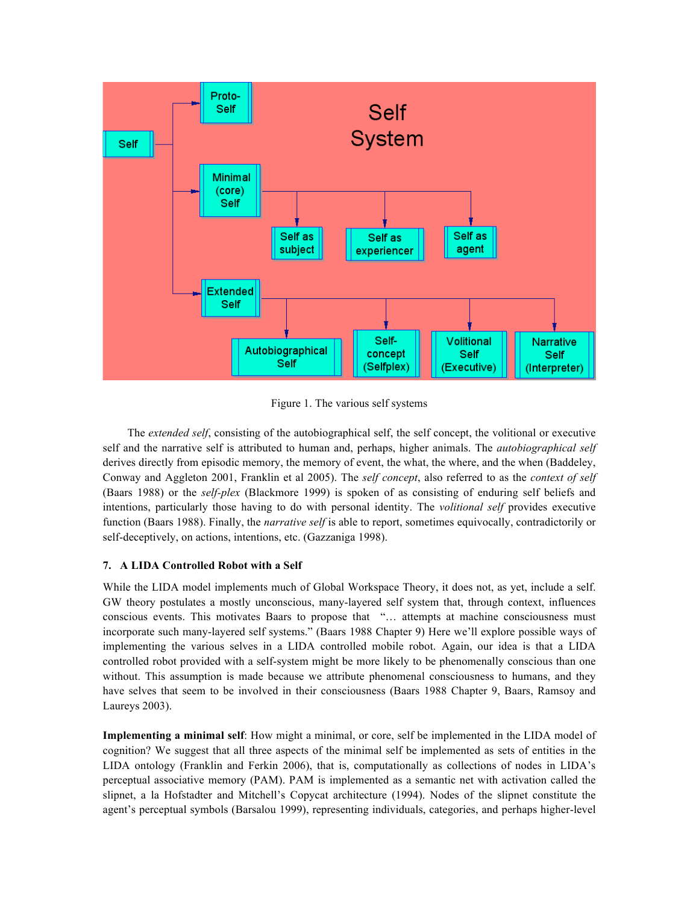

Figure 1. The various self systems

The *extended self*, consisting of the autobiographical self, the self concept, the volitional or executive self and the narrative self is attributed to human and, perhaps, higher animals. The *autobiographical self* derives directly from episodic memory, the memory of event, the what, the where, and the when (Baddeley, Conway and Aggleton 2001, Franklin et al 2005). The *self concept*, also referred to as the *context of self* (Baars 1988) or the *self-plex* (Blackmore 1999) is spoken of as consisting of enduring self beliefs and intentions, particularly those having to do with personal identity. The *volitional self* provides executive function (Baars 1988). Finally, the *narrative self* is able to report, sometimes equivocally, contradictorily or self-deceptively, on actions, intentions, etc. (Gazzaniga 1998).

# **7. A LIDA Controlled Robot with a Self**

While the LIDA model implements much of Global Workspace Theory, it does not, as yet, include a self. GW theory postulates a mostly unconscious, many-layered self system that, through context, influences conscious events. This motivates Baars to propose that "… attempts at machine consciousness must incorporate such many-layered self systems." (Baars 1988 Chapter 9) Here we'll explore possible ways of implementing the various selves in a LIDA controlled mobile robot. Again, our idea is that a LIDA controlled robot provided with a self-system might be more likely to be phenomenally conscious than one without. This assumption is made because we attribute phenomenal consciousness to humans, and they have selves that seem to be involved in their consciousness (Baars 1988 Chapter 9, Baars, Ramsoy and Laureys 2003).

**Implementing a minimal self**: How might a minimal, or core, self be implemented in the LIDA model of cognition? We suggest that all three aspects of the minimal self be implemented as sets of entities in the LIDA ontology (Franklin and Ferkin 2006), that is, computationally as collections of nodes in LIDA's perceptual associative memory (PAM). PAM is implemented as a semantic net with activation called the slipnet, a la Hofstadter and Mitchell's Copycat architecture (1994). Nodes of the slipnet constitute the agent's perceptual symbols (Barsalou 1999), representing individuals, categories, and perhaps higher-level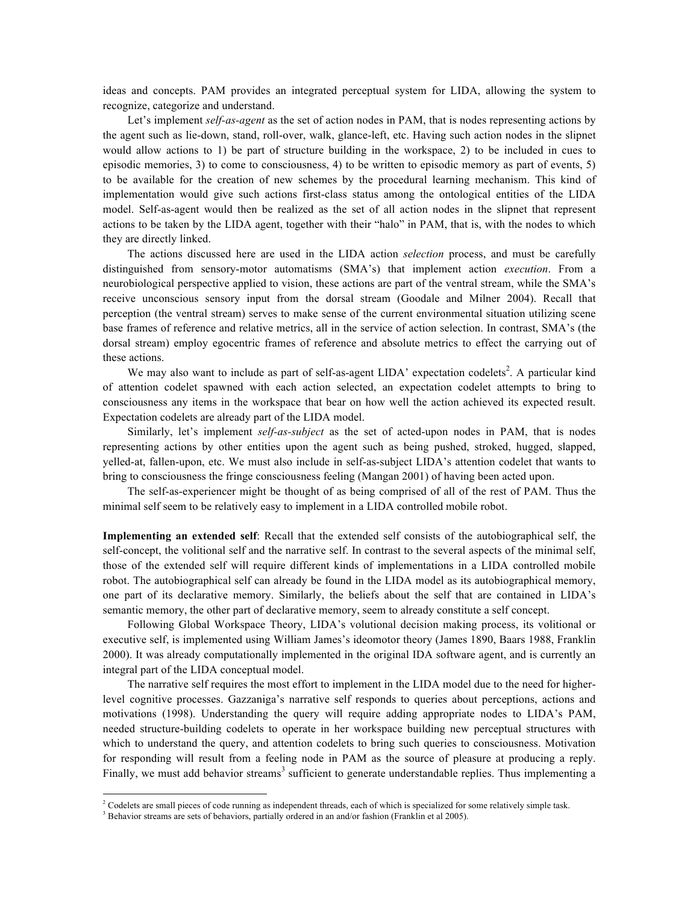ideas and concepts. PAM provides an integrated perceptual system for LIDA, allowing the system to recognize, categorize and understand.

Let's implement *self-as-agent* as the set of action nodes in PAM, that is nodes representing actions by the agent such as lie-down, stand, roll-over, walk, glance-left, etc. Having such action nodes in the slipnet would allow actions to 1) be part of structure building in the workspace, 2) to be included in cues to episodic memories, 3) to come to consciousness, 4) to be written to episodic memory as part of events, 5) to be available for the creation of new schemes by the procedural learning mechanism. This kind of implementation would give such actions first-class status among the ontological entities of the LIDA model. Self-as-agent would then be realized as the set of all action nodes in the slipnet that represent actions to be taken by the LIDA agent, together with their "halo" in PAM, that is, with the nodes to which they are directly linked.

The actions discussed here are used in the LIDA action *selection* process, and must be carefully distinguished from sensory-motor automatisms (SMA's) that implement action *execution*. From a neurobiological perspective applied to vision, these actions are part of the ventral stream, while the SMA's receive unconscious sensory input from the dorsal stream (Goodale and Milner 2004). Recall that perception (the ventral stream) serves to make sense of the current environmental situation utilizing scene base frames of reference and relative metrics, all in the service of action selection. In contrast, SMA's (the dorsal stream) employ egocentric frames of reference and absolute metrics to effect the carrying out of these actions.

We may also want to include as part of self-as-agent LIDA' expectation codelets<sup>2</sup>. A particular kind of attention codelet spawned with each action selected, an expectation codelet attempts to bring to consciousness any items in the workspace that bear on how well the action achieved its expected result. Expectation codelets are already part of the LIDA model.

Similarly, let's implement *self-as-subject* as the set of acted-upon nodes in PAM, that is nodes representing actions by other entities upon the agent such as being pushed, stroked, hugged, slapped, yelled-at, fallen-upon, etc. We must also include in self-as-subject LIDA's attention codelet that wants to bring to consciousness the fringe consciousness feeling (Mangan 2001) of having been acted upon.

The self-as-experiencer might be thought of as being comprised of all of the rest of PAM. Thus the minimal self seem to be relatively easy to implement in a LIDA controlled mobile robot.

**Implementing an extended self**: Recall that the extended self consists of the autobiographical self, the self-concept, the volitional self and the narrative self. In contrast to the several aspects of the minimal self, those of the extended self will require different kinds of implementations in a LIDA controlled mobile robot. The autobiographical self can already be found in the LIDA model as its autobiographical memory, one part of its declarative memory. Similarly, the beliefs about the self that are contained in LIDA's semantic memory, the other part of declarative memory, seem to already constitute a self concept.

Following Global Workspace Theory, LIDA's volutional decision making process, its volitional or executive self, is implemented using William James's ideomotor theory (James 1890, Baars 1988, Franklin 2000). It was already computationally implemented in the original IDA software agent, and is currently an integral part of the LIDA conceptual model.

The narrative self requires the most effort to implement in the LIDA model due to the need for higherlevel cognitive processes. Gazzaniga's narrative self responds to queries about perceptions, actions and motivations (1998). Understanding the query will require adding appropriate nodes to LIDA's PAM, needed structure-building codelets to operate in her workspace building new perceptual structures with which to understand the query, and attention codelets to bring such queries to consciousness. Motivation for responding will result from a feeling node in PAM as the source of pleasure at producing a reply. Finally, we must add behavior streams<sup>3</sup> sufficient to generate understandable replies. Thus implementing a

 $\frac{1}{2}$ <sup>2</sup> Codelets are small pieces of code running as independent threads, each of which is specialized for some relatively simple task.

 $3$  Behavior streams are sets of behaviors, partially ordered in an and/or fashion (Franklin et al 2005).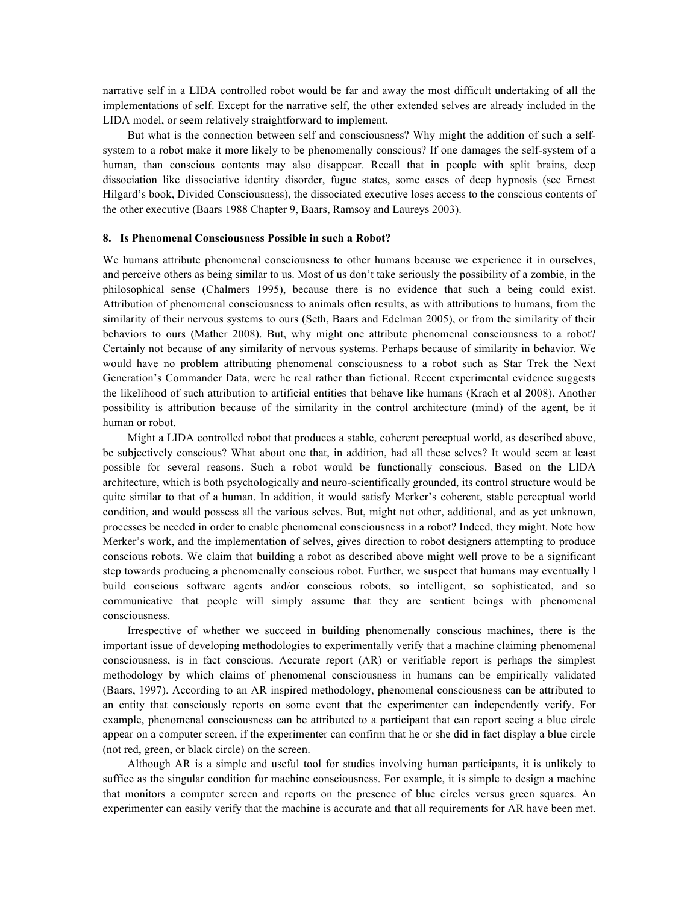narrative self in a LIDA controlled robot would be far and away the most difficult undertaking of all the implementations of self. Except for the narrative self, the other extended selves are already included in the LIDA model, or seem relatively straightforward to implement.

But what is the connection between self and consciousness? Why might the addition of such a selfsystem to a robot make it more likely to be phenomenally conscious? If one damages the self-system of a human, than conscious contents may also disappear. Recall that in people with split brains, deep dissociation like dissociative identity disorder, fugue states, some cases of deep hypnosis (see Ernest Hilgard's book, Divided Consciousness), the dissociated executive loses access to the conscious contents of the other executive (Baars 1988 Chapter 9, Baars, Ramsoy and Laureys 2003).

# **8. Is Phenomenal Consciousness Possible in such a Robot?**

We humans attribute phenomenal consciousness to other humans because we experience it in ourselves, and perceive others as being similar to us. Most of us don't take seriously the possibility of a zombie, in the philosophical sense (Chalmers 1995), because there is no evidence that such a being could exist. Attribution of phenomenal consciousness to animals often results, as with attributions to humans, from the similarity of their nervous systems to ours (Seth, Baars and Edelman 2005), or from the similarity of their behaviors to ours (Mather 2008). But, why might one attribute phenomenal consciousness to a robot? Certainly not because of any similarity of nervous systems. Perhaps because of similarity in behavior. We would have no problem attributing phenomenal consciousness to a robot such as Star Trek the Next Generation's Commander Data, were he real rather than fictional. Recent experimental evidence suggests the likelihood of such attribution to artificial entities that behave like humans (Krach et al 2008). Another possibility is attribution because of the similarity in the control architecture (mind) of the agent, be it human or robot.

Might a LIDA controlled robot that produces a stable, coherent perceptual world, as described above, be subjectively conscious? What about one that, in addition, had all these selves? It would seem at least possible for several reasons. Such a robot would be functionally conscious. Based on the LIDA architecture, which is both psychologically and neuro-scientifically grounded, its control structure would be quite similar to that of a human. In addition, it would satisfy Merker's coherent, stable perceptual world condition, and would possess all the various selves. But, might not other, additional, and as yet unknown, processes be needed in order to enable phenomenal consciousness in a robot? Indeed, they might. Note how Merker's work, and the implementation of selves, gives direction to robot designers attempting to produce conscious robots. We claim that building a robot as described above might well prove to be a significant step towards producing a phenomenally conscious robot. Further, we suspect that humans may eventually l build conscious software agents and/or conscious robots, so intelligent, so sophisticated, and so communicative that people will simply assume that they are sentient beings with phenomenal consciousness.

Irrespective of whether we succeed in building phenomenally conscious machines, there is the important issue of developing methodologies to experimentally verify that a machine claiming phenomenal consciousness, is in fact conscious. Accurate report (AR) or verifiable report is perhaps the simplest methodology by which claims of phenomenal consciousness in humans can be empirically validated (Baars, 1997). According to an AR inspired methodology, phenomenal consciousness can be attributed to an entity that consciously reports on some event that the experimenter can independently verify. For example, phenomenal consciousness can be attributed to a participant that can report seeing a blue circle appear on a computer screen, if the experimenter can confirm that he or she did in fact display a blue circle (not red, green, or black circle) on the screen.

Although AR is a simple and useful tool for studies involving human participants, it is unlikely to suffice as the singular condition for machine consciousness. For example, it is simple to design a machine that monitors a computer screen and reports on the presence of blue circles versus green squares. An experimenter can easily verify that the machine is accurate and that all requirements for AR have been met.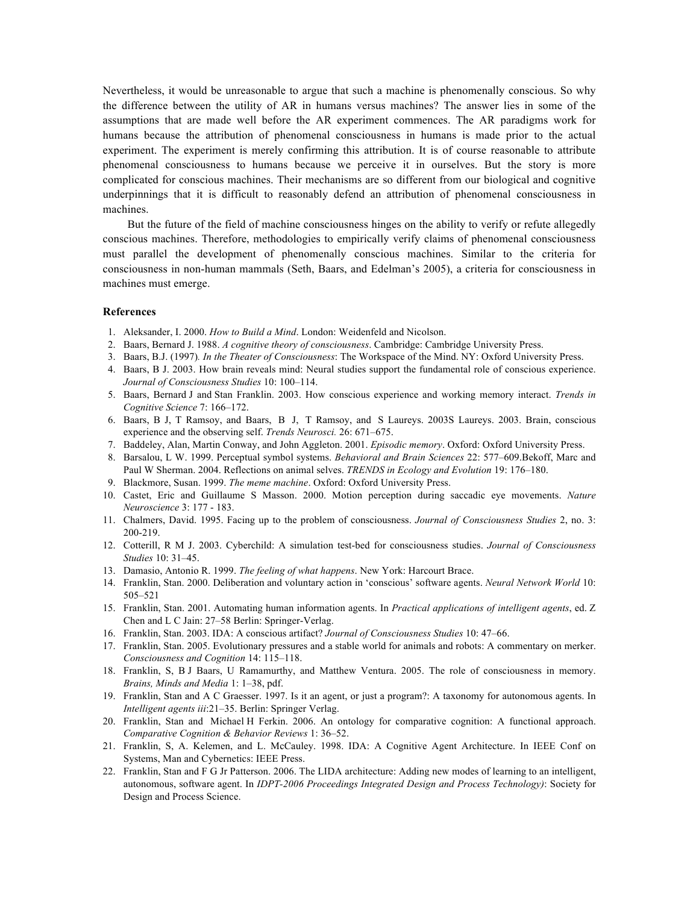Nevertheless, it would be unreasonable to argue that such a machine is phenomenally conscious. So why the difference between the utility of AR in humans versus machines? The answer lies in some of the assumptions that are made well before the AR experiment commences. The AR paradigms work for humans because the attribution of phenomenal consciousness in humans is made prior to the actual experiment. The experiment is merely confirming this attribution. It is of course reasonable to attribute phenomenal consciousness to humans because we perceive it in ourselves. But the story is more complicated for conscious machines. Their mechanisms are so different from our biological and cognitive underpinnings that it is difficult to reasonably defend an attribution of phenomenal consciousness in machines.

But the future of the field of machine consciousness hinges on the ability to verify or refute allegedly conscious machines. Therefore, methodologies to empirically verify claims of phenomenal consciousness must parallel the development of phenomenally conscious machines. Similar to the criteria for consciousness in non-human mammals (Seth, Baars, and Edelman's 2005), a criteria for consciousness in machines must emerge.

## **References**

- 1. Aleksander, I. 2000. *How to Build a Mind*. London: Weidenfeld and Nicolson.
- 2. Baars, Bernard J. 1988. *A cognitive theory of consciousness*. Cambridge: Cambridge University Press.
- 3. Baars, B.J. (1997)*. In the Theater of Consciousness*: The Workspace of the Mind. NY: Oxford University Press.
- 4. Baars, B J. 2003. How brain reveals mind: Neural studies support the fundamental role of conscious experience. *Journal of Consciousness Studies* 10: 100–114.
- 5. Baars, Bernard J and Stan Franklin. 2003. How conscious experience and working memory interact. *Trends in Cognitive Science* 7: 166–172.
- 6. Baars, B J, T Ramsoy, and Baars, B J, T Ramsoy, and S Laureys. 2003S Laureys. 2003. Brain, conscious experience and the observing self. *Trends Neurosci.* 26: 671–675.
- 7. Baddeley, Alan, Martin Conway, and John Aggleton. 2001. *Episodic memory*. Oxford: Oxford University Press.
- 8. Barsalou, L W. 1999. Perceptual symbol systems. *Behavioral and Brain Sciences* 22: 577–609.Bekoff, Marc and Paul W Sherman. 2004. Reflections on animal selves. *TRENDS in Ecology and Evolution* 19: 176–180.
- 9. Blackmore, Susan. 1999. *The meme machine*. Oxford: Oxford University Press.
- 10. Castet, Eric and Guillaume S Masson. 2000. Motion perception during saccadic eye movements. *Nature Neuroscience* 3: 177 - 183.
- 11. Chalmers, David. 1995. Facing up to the problem of consciousness. *Journal of Consciousness Studies* 2, no. 3: 200-219.
- 12. Cotterill, R M J. 2003. Cyberchild: A simulation test-bed for consciousness studies. *Journal of Consciousness Studies* 10: 31–45.
- 13. Damasio, Antonio R. 1999. *The feeling of what happens*. New York: Harcourt Brace.
- 14. Franklin, Stan. 2000. Deliberation and voluntary action in 'conscious' software agents. *Neural Network World* 10: 505–521
- 15. Franklin, Stan. 2001. Automating human information agents. In *Practical applications of intelligent agents*, ed. Z Chen and L C Jain: 27–58 Berlin: Springer-Verlag.
- 16. Franklin, Stan. 2003. IDA: A conscious artifact? *Journal of Consciousness Studies* 10: 47–66.
- 17. Franklin, Stan. 2005. Evolutionary pressures and a stable world for animals and robots: A commentary on merker. *Consciousness and Cognition* 14: 115–118.
- 18. Franklin, S, B J Baars, U Ramamurthy, and Matthew Ventura. 2005. The role of consciousness in memory. *Brains, Minds and Media* 1: 1–38, pdf.
- 19. Franklin, Stan and A C Graesser. 1997. Is it an agent, or just a program?: A taxonomy for autonomous agents. In *Intelligent agents iii*:21–35. Berlin: Springer Verlag.
- 20. Franklin, Stan and Michael H Ferkin. 2006. An ontology for comparative cognition: A functional approach. *Comparative Cognition & Behavior Reviews* 1: 36–52.
- 21. Franklin, S, A. Kelemen, and L. McCauley. 1998. IDA: A Cognitive Agent Architecture. In IEEE Conf on Systems, Man and Cybernetics: IEEE Press.
- 22. Franklin, Stan and F G Jr Patterson. 2006. The LIDA architecture: Adding new modes of learning to an intelligent, autonomous, software agent. In *IDPT-2006 Proceedings Integrated Design and Process Technology)*: Society for Design and Process Science.